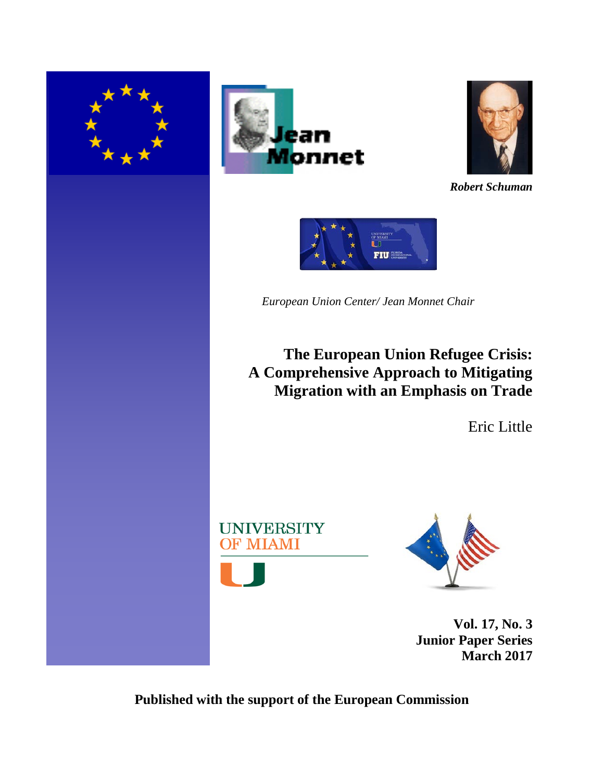





*Robert Schuman*



*European Union Center/ Jean Monnet Chair*

**The European Union Refugee Crisis: A Comprehensive Approach to Mitigating Migration with an Emphasis on Trade**

Eric Little





**Vol. 17, No. 3 Junior Paper Series March 2017**

**Published with the support of the European Commission**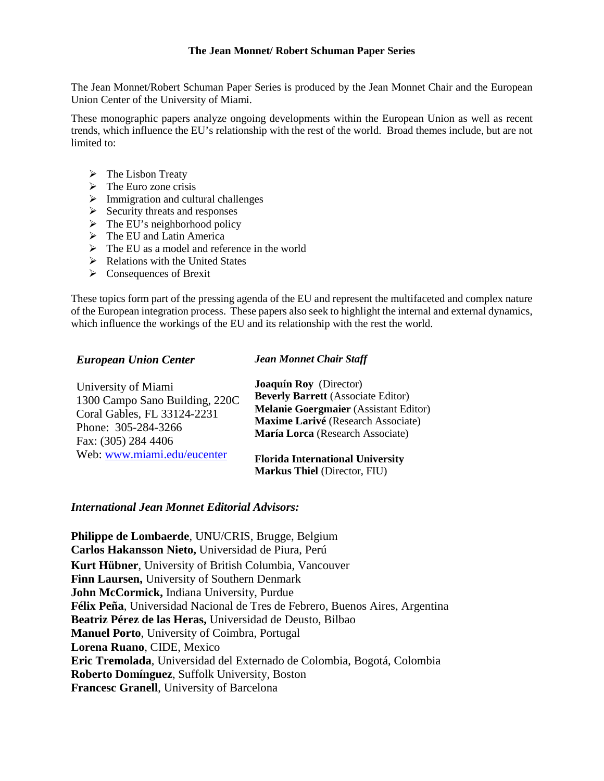#### **The Jean Monnet/ Robert Schuman Paper Series**

The Jean Monnet/Robert Schuman Paper Series is produced by the Jean Monnet Chair and the European Union Center of the University of Miami.

These monographic papers analyze ongoing developments within the European Union as well as recent trends, which influence the EU's relationship with the rest of the world. Broad themes include, but are not limited to:

- $\triangleright$  The Lisbon Treaty
- $\triangleright$  The Euro zone crisis
- $\triangleright$  Immigration and cultural challenges
- $\triangleright$  Security threats and responses
- $\triangleright$  The EU's neighborhood policy
- $\triangleright$  The EU and Latin America
- $\triangleright$  The EU as a model and reference in the world
- $\triangleright$  Relations with the United States
- $\triangleright$  Consequences of Brexit

These topics form part of the pressing agenda of the EU and represent the multifaceted and complex nature of the European integration process. These papers also seek to highlight the internal and external dynamics, which influence the workings of the EU and its relationship with the rest the world.

#### *European Union Center*

### *Jean Monnet Chair Staff*

| University of Miami            | Joaquín Roy (Director)                                                         |
|--------------------------------|--------------------------------------------------------------------------------|
| 1300 Campo Sano Building, 220C | <b>Beverly Barrett</b> (Associate Editor)                                      |
| Coral Gables, FL 33124-2231    | <b>Melanie Goergmaier</b> (Assistant Editor)                                   |
| Phone: 305-284-3266            | Maxime Larivé (Research Associate)                                             |
| Fax: (305) 284 4406            | María Lorca (Research Associate)                                               |
| Web: www.miami.edu/eucenter    | <b>Florida International University</b><br><b>Markus Thiel (Director, FIU)</b> |

#### *International Jean Monnet Editorial Advisors:*

**Philippe de Lombaerde**, UNU/CRIS, Brugge, Belgium **Carlos Hakansson Nieto,** Universidad de Piura, Perú **Kurt Hübner**, University of British Columbia, Vancouver **Finn Laursen,** University of Southern Denmark **John McCormick,** Indiana University, Purdue **Félix Peña**, Universidad Nacional de Tres de Febrero, Buenos Aires, Argentina **Beatriz Pérez de las Heras,** Universidad de Deusto, Bilbao **Manuel Porto**, University of Coimbra, Portugal **Lorena Ruano**, CIDE, Mexico **Eric Tremolada**, Universidad del Externado de Colombia, Bogotá, Colombia **Roberto Domínguez**, Suffolk University, Boston **Francesc Granell**, University of Barcelona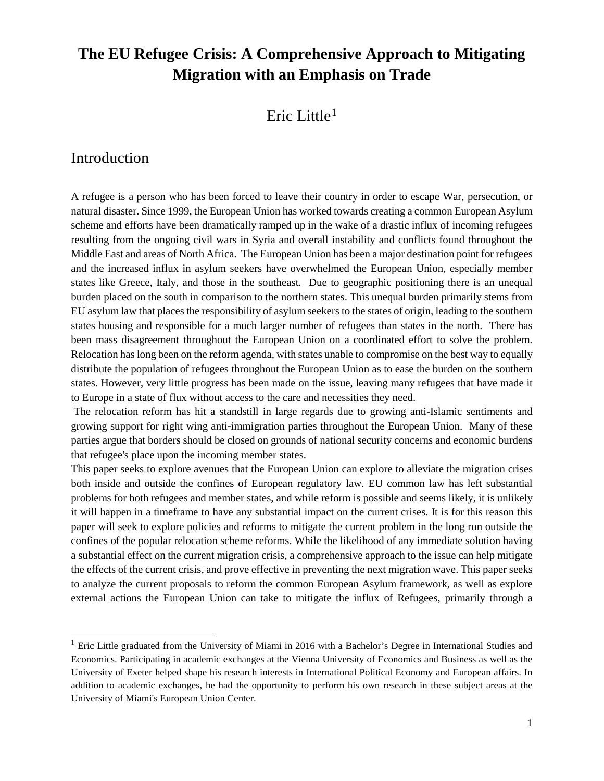# **The EU Refugee Crisis: A Comprehensive Approach to Mitigating Migration with an Emphasis on Trade**

## Eric Little<sup>[1](#page-2-0)</sup>

## Introduction

A refugee is a person who has been forced to leave their country in order to escape War, persecution, or natural disaster. Since 1999, the European Union has worked towards creating a common European Asylum scheme and efforts have been dramatically ramped up in the wake of a drastic influx of incoming refugees resulting from the ongoing civil wars in Syria and overall instability and conflicts found throughout the Middle East and areas of North Africa. The European Union has been a major destination point for refugees and the increased influx in asylum seekers have overwhelmed the European Union, especially member states like Greece, Italy, and those in the southeast. Due to geographic positioning there is an unequal burden placed on the south in comparison to the northern states. This unequal burden primarily stems from EU asylum law that places the responsibility of asylum seekers to the states of origin, leading to the southern states housing and responsible for a much larger number of refugees than states in the north. There has been mass disagreement throughout the European Union on a coordinated effort to solve the problem. Relocation has long been on the reform agenda, with states unable to compromise on the best way to equally distribute the population of refugees throughout the European Union as to ease the burden on the southern states. However, very little progress has been made on the issue, leaving many refugees that have made it to Europe in a state of flux without access to the care and necessities they need.

The relocation reform has hit a standstill in large regards due to growing anti-Islamic sentiments and growing support for right wing anti-immigration parties throughout the European Union. Many of these parties argue that borders should be closed on grounds of national security concerns and economic burdens that refugee's place upon the incoming member states.

This paper seeks to explore avenues that the European Union can explore to alleviate the migration crises both inside and outside the confines of European regulatory law. EU common law has left substantial problems for both refugees and member states, and while reform is possible and seems likely, it is unlikely it will happen in a timeframe to have any substantial impact on the current crises. It is for this reason this paper will seek to explore policies and reforms to mitigate the current problem in the long run outside the confines of the popular relocation scheme reforms. While the likelihood of any immediate solution having a substantial effect on the current migration crisis, a comprehensive approach to the issue can help mitigate the effects of the current crisis, and prove effective in preventing the next migration wave. This paper seeks to analyze the current proposals to reform the common European Asylum framework, as well as explore external actions the European Union can take to mitigate the influx of Refugees, primarily through a

<span id="page-2-0"></span><sup>&</sup>lt;sup>1</sup> Eric Little graduated from the University of Miami in 2016 with a Bachelor's Degree in International Studies and Economics. Participating in academic exchanges at the Vienna University of Economics and Business as well as the University of Exeter helped shape his research interests in International Political Economy and European affairs. In addition to academic exchanges, he had the opportunity to perform his own research in these subject areas at the University of Miami's European Union Center.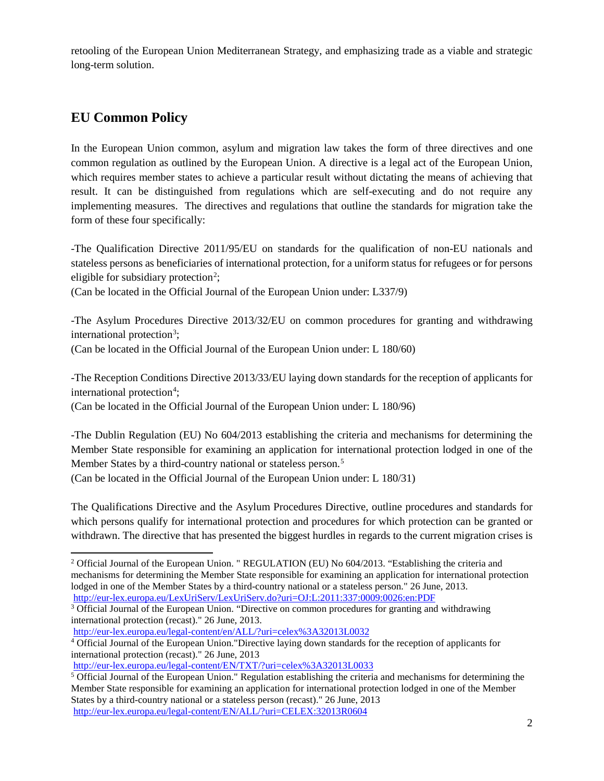retooling of the European Union Mediterranean Strategy, and emphasizing trade as a viable and strategic long-term solution.

## **EU Common Policy**

In the European Union common, asylum and migration law takes the form of three directives and one common regulation as outlined by the European Union. A directive is a legal act of the European Union, which requires member states to achieve a particular result without dictating the means of achieving that result. It can be distinguished from regulations which are self-executing and do not require any implementing measures. The directives and regulations that outline the standards for migration take the form of these four specifically:

-The Qualification Directive 2011/95/EU on standards for the qualification of non-EU nationals and stateless persons as beneficiaries of international protection, for a uniform status for refugees or for persons eligible for subsidiary protection<sup>[2](#page-3-0)</sup>;

(Can be located in the Official Journal of the European Union under: L337/9)

-The Asylum Procedures Directive 2013/32/EU on common procedures for granting and withdrawing international protection<sup>3</sup>;

(Can be located in the Official Journal of the European Union under: L 180/60)

-The Reception Conditions Directive 2013/33/EU laying down standards for the reception of applicants for international protection<sup>4</sup>;

(Can be located in the Official Journal of the European Union under: L 180/96)

-The Dublin Regulation (EU) No 604/2013 establishing the criteria and mechanisms for determining the Member State responsible for examining an application for international protection lodged in one of the Member States by a third-country national or stateless person.<sup>[5](#page-3-3)</sup>

(Can be located in the Official Journal of the European Union under: L 180/31)

The Qualifications Directive and the Asylum Procedures Directive, outline procedures and standards for which persons qualify for international protection and procedures for which protection can be granted or withdrawn. The directive that has presented the biggest hurdles in regards to the current migration crises is

<span id="page-3-0"></span><sup>&</sup>lt;sup>2</sup> Official Journal of the European Union. " REGULATION (EU) No 604/2013. "Establishing the criteria and mechanisms for determining the Member State responsible for examining an application for international protection lodged in one of the Member States by a third-country national or a stateless person." 26 June, 2013. <http://eur-lex.europa.eu/LexUriServ/LexUriServ.do?uri=OJ:L:2011:337:0009:0026:en:PDF>

<span id="page-3-1"></span><sup>&</sup>lt;sup>3</sup> Official Journal of the European Union. "Directive on common procedures for granting and withdrawing international protection (recast)." 26 June, 2013.

<http://eur-lex.europa.eu/legal-content/en/ALL/?uri=celex%3A32013L0032>

<span id="page-3-2"></span><sup>4</sup> Official Journal of the European Union."Directive laying down standards for the reception of applicants for international protection (recast)." 26 June, 2013

<http://eur-lex.europa.eu/legal-content/EN/TXT/?uri=celex%3A32013L0033>

<span id="page-3-3"></span><sup>&</sup>lt;sup>5</sup> Official Journal of the European Union." Regulation establishing the criteria and mechanisms for determining the Member State responsible for examining an application for international protection lodged in one of the Member States by a third-country national or a stateless person (recast)." 26 June, 2013 <http://eur-lex.europa.eu/legal-content/EN/ALL/?uri=CELEX:32013R0604>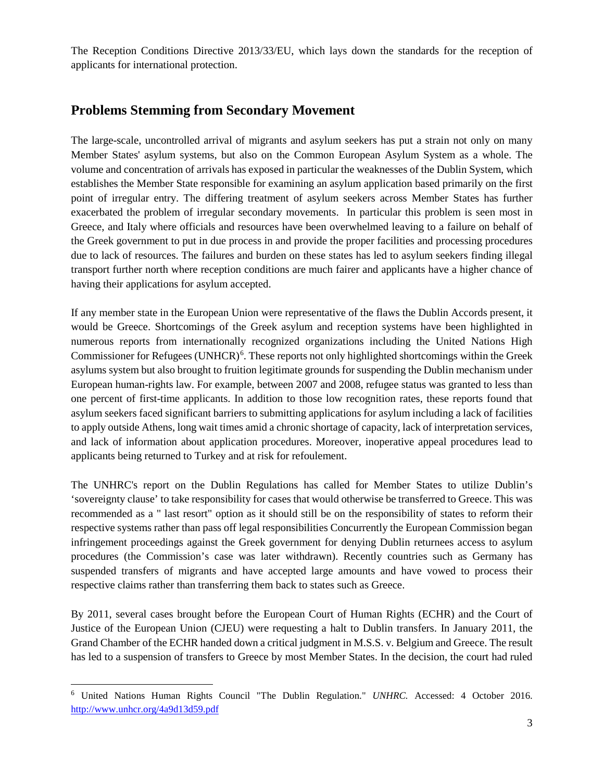The Reception Conditions Directive 2013/33/EU, which lays down the standards for the reception of applicants for international protection.

## **Problems Stemming from Secondary Movement**

The large-scale, uncontrolled arrival of migrants and asylum seekers has put a strain not only on many Member States' asylum systems, but also on the Common European Asylum System as a whole. The volume and concentration of arrivals has exposed in particular the weaknesses of the Dublin System, which establishes the Member State responsible for examining an asylum application based primarily on the first point of irregular entry. The differing treatment of asylum seekers across Member States has further exacerbated the problem of irregular secondary movements. In particular this problem is seen most in Greece, and Italy where officials and resources have been overwhelmed leaving to a failure on behalf of the Greek government to put in due process in and provide the proper facilities and processing procedures due to lack of resources. The failures and burden on these states has led to asylum seekers finding illegal transport further north where reception conditions are much fairer and applicants have a higher chance of having their applications for asylum accepted.

If any member state in the European Union were representative of the flaws the Dublin Accords present, it would be Greece. Shortcomings of the Greek asylum and reception systems have been highlighted in numerous reports from internationally recognized organizations including the United Nations High Commissioner for Refugees (UNHCR)<sup>[6](#page-4-0)</sup>. These reports not only highlighted shortcomings within the Greek asylums system but also brought to fruition legitimate grounds for suspending the Dublin mechanism under European human-rights law. For example, between 2007 and 2008, refugee status was granted to less than one percent of first-time applicants. In addition to those low recognition rates, these reports found that asylum seekers faced significant barriers to submitting applications for asylum including a lack of facilities to apply outside Athens, long wait times amid a chronic shortage of capacity, lack of interpretation services, and lack of information about application procedures. Moreover, inoperative appeal procedures lead to applicants being returned to Turkey and at risk for refoulement.

The UNHRC's report on the Dublin Regulations has called for Member States to utilize Dublin's 'sovereignty clause' to take responsibility for cases that would otherwise be transferred to Greece. This was recommended as a " last resort" option as it should still be on the responsibility of states to reform their respective systems rather than pass off legal responsibilities Concurrently the European Commission began infringement proceedings against the Greek government for denying Dublin returnees access to asylum procedures (the Commission's case was later withdrawn). Recently countries such as Germany has suspended transfers of migrants and have accepted large amounts and have vowed to process their respective claims rather than transferring them back to states such as Greece.

By 2011, several cases brought before the European Court of Human Rights (ECHR) and the Court of Justice of the European Union (CJEU) were requesting a halt to Dublin transfers. In January 2011, the Grand Chamber of the ECHR handed down a critical judgment in M.S.S. v. Belgium and Greece. The result has led to a suspension of transfers to Greece by most Member States. In the decision, the court had ruled

<span id="page-4-0"></span> <sup>6</sup> United Nations Human Rights Council "The Dublin Regulation." *UNHRC.* Accessed: 4 October 2016. <http://www.unhcr.org/4a9d13d59.pdf>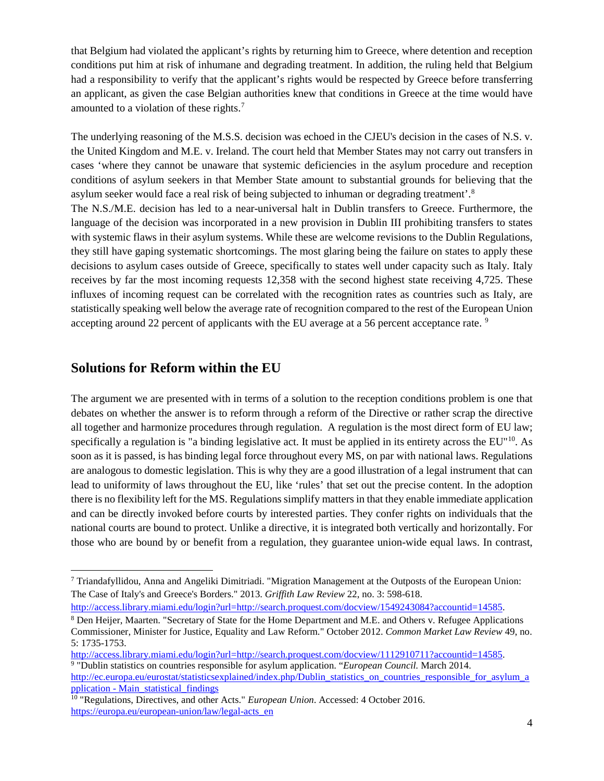that Belgium had violated the applicant's rights by returning him to Greece, where detention and reception conditions put him at risk of inhumane and degrading treatment. In addition, the ruling held that Belgium had a responsibility to verify that the applicant's rights would be respected by Greece before transferring an applicant, as given the case Belgian authorities knew that conditions in Greece at the time would have amounted to a violation of these rights.[7](#page-5-0)

The underlying reasoning of the M.S.S. decision was echoed in the CJEU's decision in the cases of N.S. v. the United Kingdom and M.E. v. Ireland. The court held that Member States may not carry out transfers in cases 'where they cannot be unaware that systemic deficiencies in the asylum procedure and reception conditions of asylum seekers in that Member State amount to substantial grounds for believing that the asylum seeker would face a real risk of being subjected to inhuman or degrading treatment'.[8](#page-5-1) The N.S./M.E. decision has led to a near-universal halt in Dublin transfers to Greece. Furthermore, the language of the decision was incorporated in a new provision in Dublin III prohibiting transfers to states with systemic flaws in their asylum systems. While these are welcome revisions to the Dublin Regulations, they still have gaping systematic shortcomings. The most glaring being the failure on states to apply these decisions to asylum cases outside of Greece, specifically to states well under capacity such as Italy. Italy receives by far the most incoming requests 12,358 with the second highest state receiving 4,725. These influxes of incoming request can be correlated with the recognition rates as countries such as Italy, are statistically speaking well below the average rate of recognition compared to the rest of the European Union accepting around 22 percent of applicants with the EU average at a 56 percent acceptance rate. <sup>[9](#page-5-2)</sup>

## **Solutions for Reform within the EU**

The argument we are presented with in terms of a solution to the reception conditions problem is one that debates on whether the answer is to reform through a reform of the Directive or rather scrap the directive all together and harmonize procedures through regulation. A regulation is the most direct form of EU law; specifically a regulation is "a binding legislative act. It must be applied in its entirety across the EU"<sup>[10](#page-5-3)</sup>. As soon as it is passed, is has binding legal force throughout every MS, on par with national laws. Regulations are analogous to domestic legislation. This is why they are a good illustration of a legal instrument that can lead to uniformity of laws throughout the EU, like 'rules' that set out the precise content. In the adoption there is no flexibility left for the MS. Regulations simplify matters in that they enable immediate application and can be directly invoked before courts by interested parties. They confer rights on individuals that the national courts are bound to protect. Unlike a directive, it is integrated both vertically and horizontally. For those who are bound by or benefit from a regulation, they guarantee union-wide equal laws. In contrast,

[http://access.library.miami.edu/login?url=http://search.proquest.com/docview/1549243084?accountid=14585.](http://access.library.miami.edu/login?url=http://search.proquest.com/docview/1549243084?accountid=14585)

<span id="page-5-0"></span> <sup>7</sup> Triandafyllidou, Anna and Angeliki Dimitriadi. "Migration Management at the Outposts of the European Union: The Case of Italy's and Greece's Borders." 2013. *Griffith Law Review* 22, no. 3: 598-618.

<span id="page-5-1"></span><sup>8</sup> Den Heijer, Maarten. "Secretary of State for the Home Department and M.E. and Others v. Refugee Applications Commissioner, Minister for Justice, Equality and Law Reform." October 2012. *Common Market Law Review* 49, no. 5: 1735-1753.

<span id="page-5-2"></span>[http://access.library.miami.edu/login?url=http://search.proquest.com/docview/1112910711?accountid=14585.](http://access.library.miami.edu/login?url=http://search.proquest.com/docview/1112910711?accountid=14585) <sup>9</sup> "Dublin statistics on countries responsible for asylum application. "*European Council.* March 2014. [http://ec.europa.eu/eurostat/statisticsexplained/index.php/Dublin\\_statistics\\_on\\_countries\\_responsible\\_for\\_asylum\\_a](http://ec.europa.eu/eurostat/statisticsexplained/index.php/Dublin_statistics_on_countries_responsible_for_asylum_application%20-%20Main_statistical_findings) pplication - [Main\\_statistical\\_findings](http://ec.europa.eu/eurostat/statisticsexplained/index.php/Dublin_statistics_on_countries_responsible_for_asylum_application%20-%20Main_statistical_findings)

<span id="page-5-3"></span><sup>10</sup> "Regulations, Directives, and other Acts." *European Union*. Accessed: 4 October 2016. [https://europa.eu/european-union/law/legal-acts\\_en](https://europa.eu/european-union/law/legal-acts_en)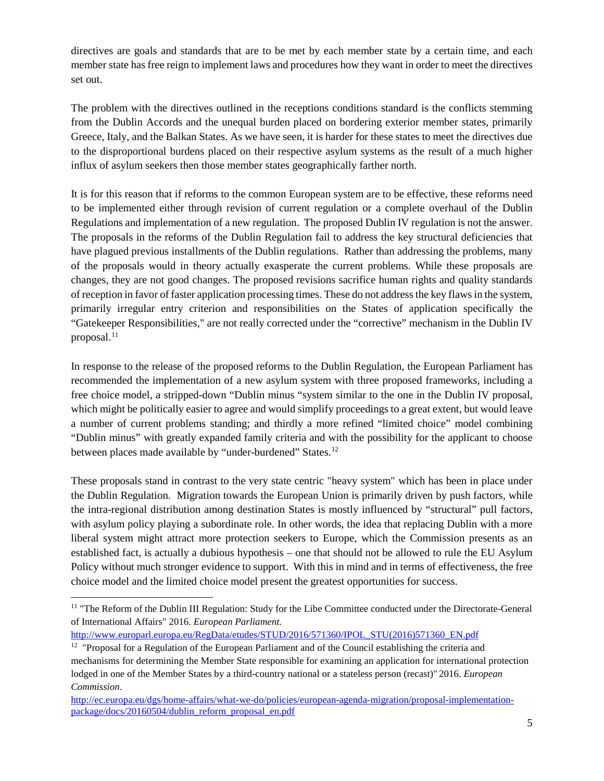directives are goals and standards that are to be met by each member state by a certain time, and each member state has free reign to implement laws and procedures how they want in order to meet the directives set out.

The problem with the directives outlined in the receptions conditions standard is the conflicts stemming from the Dublin Accords and the unequal burden placed on bordering exterior member states, primarily Greece, Italy, and the Balkan States. As we have seen, it is harder for these states to meet the directives due to the disproportional burdens placed on their respective asylum systems as the result of a much higher influx of asylum seekers then those member states geographically farther north.

It is for this reason that if reforms to the common European system are to be effective, these reforms need to be implemented either through revision of current regulation or a complete overhaul of the Dublin Regulations and implementation of a new regulation. The proposed Dublin IV regulation is not the answer. The proposals in the reforms of the Dublin Regulation fail to address the key structural deficiencies that have plagued previous installments of the Dublin regulations. Rather than addressing the problems, many of the proposals would in theory actually exasperate the current problems. While these proposals are changes, they are not good changes. The proposed revisions sacrifice human rights and quality standards of reception in favor of faster application processing times. These do not address the key flaws in the system, primarily irregular entry criterion and responsibilities on the States of application specifically the "Gatekeeper Responsibilities," are not really corrected under the "corrective" mechanism in the Dublin IV proposal.<sup>[11](#page-6-0)</sup>

In response to the release of the proposed reforms to the Dublin Regulation, the European Parliament has recommended the implementation of a new asylum system with three proposed frameworks, including a free choice model, a stripped-down "Dublin minus "system similar to the one in the Dublin IV proposal, which might be politically easier to agree and would simplify proceedings to a great extent, but would leave a number of current problems standing; and thirdly a more refined "limited choice" model combining "Dublin minus" with greatly expanded family criteria and with the possibility for the applicant to choose between places made available by "under-burdened" States.<sup>[12](#page-6-1)</sup>

These proposals stand in contrast to the very state centric "heavy system" which has been in place under the Dublin Regulation. Migration towards the European Union is primarily driven by push factors, while the intra-regional distribution among destination States is mostly influenced by "structural" pull factors, with asylum policy playing a subordinate role. In other words, the idea that replacing Dublin with a more liberal system might attract more protection seekers to Europe, which the Commission presents as an established fact, is actually a dubious hypothesis – one that should not be allowed to rule the EU Asylum Policy without much stronger evidence to support. With this in mind and in terms of effectiveness, the free choice model and the limited choice model present the greatest opportunities for success.

<span id="page-6-0"></span><sup>&</sup>lt;sup>11</sup> "The Reform of the Dublin III Regulation: Study for the Libe Committee conducted under the Directorate-General of International Affairs" 2016. *European Parliament.* 

[http://www.europarl.europa.eu/RegData/etudes/STUD/2016/571360/IPOL\\_STU\(2016\)571360\\_EN.pdf](http://www.europarl.europa.eu/RegData/etudes/STUD/2016/571360/IPOL_STU(2016)571360_EN.pdf)

<span id="page-6-1"></span> $12$  "Proposal for a Regulation of the European Parliament and of the Council establishing the criteria and mechanisms for determining the Member State responsible for examining an application for international protection lodged in one of the Member States by a third-country national or a stateless person (recast)" 2016. *European Commission*.

[http://ec.europa.eu/dgs/home-affairs/what-we-do/policies/european-agenda-migration/proposal-implementation](http://ec.europa.eu/dgs/home-affairs/what-we-do/policies/european-agenda-migration/proposal-implementation-package/docs/20160504/dublin_reform_proposal_en.pdf)[package/docs/20160504/dublin\\_reform\\_proposal\\_en.pdf](http://ec.europa.eu/dgs/home-affairs/what-we-do/policies/european-agenda-migration/proposal-implementation-package/docs/20160504/dublin_reform_proposal_en.pdf)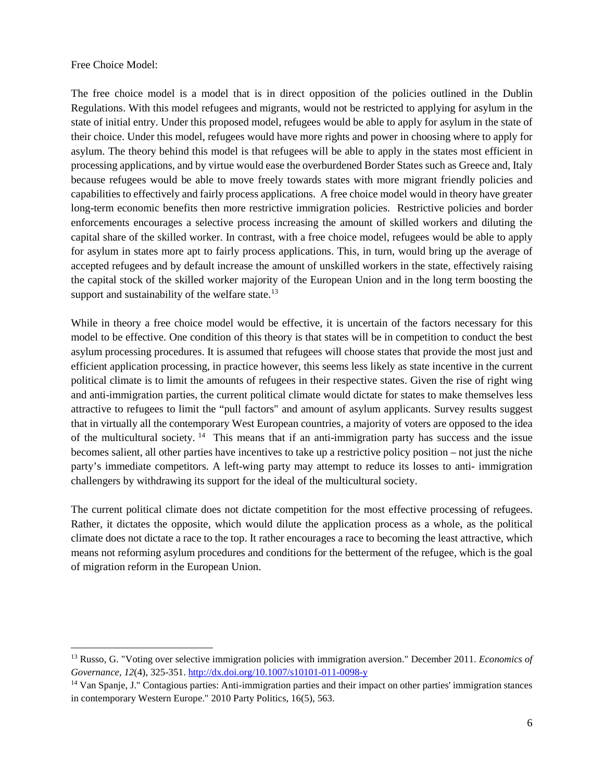Free Choice Model:

The free choice model is a model that is in direct opposition of the policies outlined in the Dublin Regulations. With this model refugees and migrants, would not be restricted to applying for asylum in the state of initial entry. Under this proposed model, refugees would be able to apply for asylum in the state of their choice. Under this model, refugees would have more rights and power in choosing where to apply for asylum. The theory behind this model is that refugees will be able to apply in the states most efficient in processing applications, and by virtue would ease the overburdened Border States such as Greece and, Italy because refugees would be able to move freely towards states with more migrant friendly policies and capabilities to effectively and fairly process applications. A free choice model would in theory have greater long-term economic benefits then more restrictive immigration policies. Restrictive policies and border enforcements encourages a selective process increasing the amount of skilled workers and diluting the capital share of the skilled worker. In contrast, with a free choice model, refugees would be able to apply for asylum in states more apt to fairly process applications. This, in turn, would bring up the average of accepted refugees and by default increase the amount of unskilled workers in the state, effectively raising the capital stock of the skilled worker majority of the European Union and in the long term boosting the support and sustainability of the welfare state. $13$ 

While in theory a free choice model would be effective, it is uncertain of the factors necessary for this model to be effective. One condition of this theory is that states will be in competition to conduct the best asylum processing procedures. It is assumed that refugees will choose states that provide the most just and efficient application processing, in practice however, this seems less likely as state incentive in the current political climate is to limit the amounts of refugees in their respective states. Given the rise of right wing and anti-immigration parties, the current political climate would dictate for states to make themselves less attractive to refugees to limit the "pull factors" and amount of asylum applicants. Survey results suggest that in virtually all the contemporary West European countries, a majority of voters are opposed to the idea of the multicultural society. [14](#page-7-1) This means that if an anti-immigration party has success and the issue becomes salient, all other parties have incentives to take up a restrictive policy position – not just the niche party's immediate competitors. A left-wing party may attempt to reduce its losses to anti- immigration challengers by withdrawing its support for the ideal of the multicultural society.

The current political climate does not dictate competition for the most effective processing of refugees. Rather, it dictates the opposite, which would dilute the application process as a whole, as the political climate does not dictate a race to the top. It rather encourages a race to becoming the least attractive, which means not reforming asylum procedures and conditions for the betterment of the refugee, which is the goal of migration reform in the European Union.

<span id="page-7-0"></span> <sup>13</sup> Russo, G. "Voting over selective immigration policies with immigration aversion." December 2011. *Economics of Governance, 12*(4), 325-351.<http://dx.doi.org/10.1007/s10101-011-0098-y>

<span id="page-7-1"></span><sup>14</sup> Van Spanje, J." Contagious parties: Anti-immigration parties and their impact on other parties' immigration stances in contemporary Western Europe." 2010 Party Politics, 16(5), 563.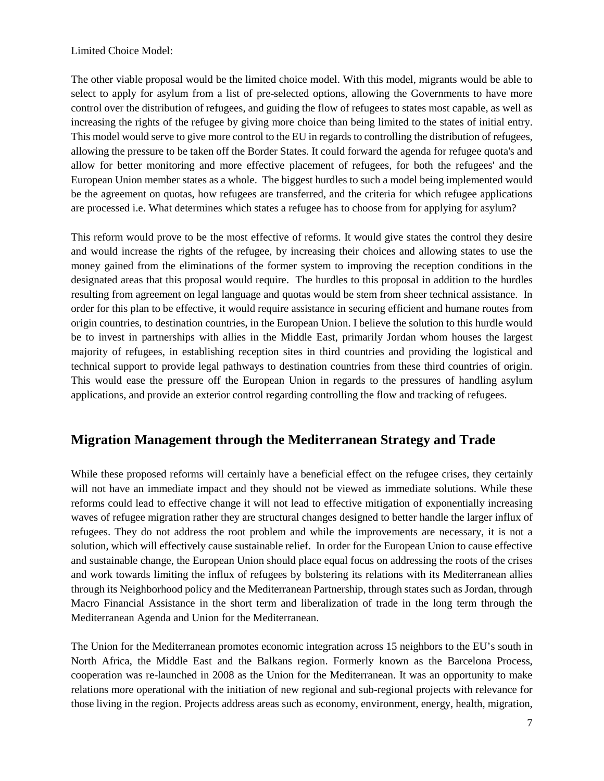Limited Choice Model:

The other viable proposal would be the limited choice model. With this model, migrants would be able to select to apply for asylum from a list of pre-selected options, allowing the Governments to have more control over the distribution of refugees, and guiding the flow of refugees to states most capable, as well as increasing the rights of the refugee by giving more choice than being limited to the states of initial entry. This model would serve to give more control to the EU in regards to controlling the distribution of refugees, allowing the pressure to be taken off the Border States. It could forward the agenda for refugee quota's and allow for better monitoring and more effective placement of refugees, for both the refugees' and the European Union member states as a whole. The biggest hurdles to such a model being implemented would be the agreement on quotas, how refugees are transferred, and the criteria for which refugee applications are processed i.e. What determines which states a refugee has to choose from for applying for asylum?

This reform would prove to be the most effective of reforms. It would give states the control they desire and would increase the rights of the refugee, by increasing their choices and allowing states to use the money gained from the eliminations of the former system to improving the reception conditions in the designated areas that this proposal would require. The hurdles to this proposal in addition to the hurdles resulting from agreement on legal language and quotas would be stem from sheer technical assistance. In order for this plan to be effective, it would require assistance in securing efficient and humane routes from origin countries, to destination countries, in the European Union. I believe the solution to this hurdle would be to invest in partnerships with allies in the Middle East, primarily Jordan whom houses the largest majority of refugees, in establishing reception sites in third countries and providing the logistical and technical support to provide legal pathways to destination countries from these third countries of origin. This would ease the pressure off the European Union in regards to the pressures of handling asylum applications, and provide an exterior control regarding controlling the flow and tracking of refugees.

### **Migration Management through the Mediterranean Strategy and Trade**

While these proposed reforms will certainly have a beneficial effect on the refugee crises, they certainly will not have an immediate impact and they should not be viewed as immediate solutions. While these reforms could lead to effective change it will not lead to effective mitigation of exponentially increasing waves of refugee migration rather they are structural changes designed to better handle the larger influx of refugees. They do not address the root problem and while the improvements are necessary, it is not a solution, which will effectively cause sustainable relief. In order for the European Union to cause effective and sustainable change, the European Union should place equal focus on addressing the roots of the crises and work towards limiting the influx of refugees by bolstering its relations with its Mediterranean allies through its Neighborhood policy and the Mediterranean Partnership, through states such as Jordan, through Macro Financial Assistance in the short term and liberalization of trade in the long term through the Mediterranean Agenda and Union for the Mediterranean.

The Union for the Mediterranean promotes economic integration across 15 neighbors to the EU's south in North Africa, the Middle East and the Balkans region. Formerly known as the Barcelona Process, cooperation was re-launched in 2008 as the Union for the Mediterranean. It was an opportunity to make relations more operational with the initiation of new regional and sub-regional projects with relevance for those living in the region. Projects address areas such as economy, environment, energy, health, migration,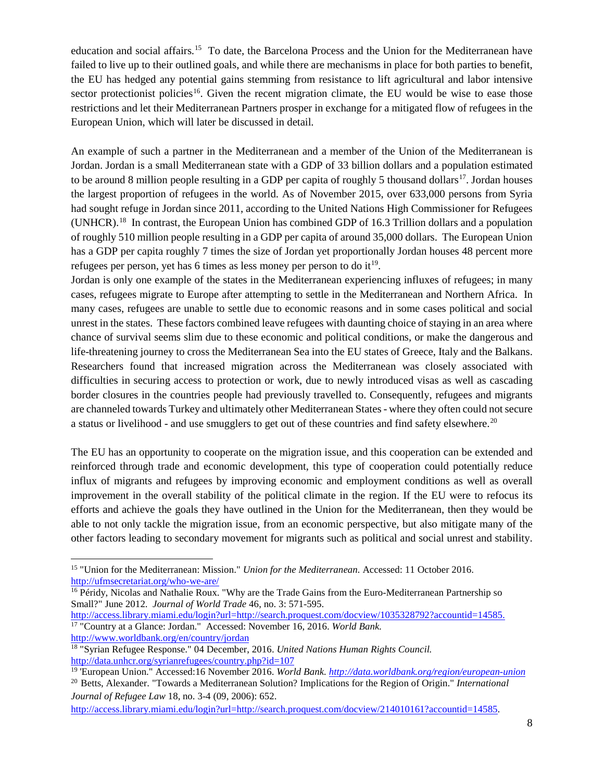education and social affairs.[15](#page-9-0) To date, the Barcelona Process and the Union for the Mediterranean have failed to live up to their outlined goals, and while there are mechanisms in place for both parties to benefit, the EU has hedged any potential gains stemming from resistance to lift agricultural and labor intensive sector protectionist policies<sup>[16](#page-9-1)</sup>. Given the recent migration climate, the EU would be wise to ease those restrictions and let their Mediterranean Partners prosper in exchange for a mitigated flow of refugees in the European Union, which will later be discussed in detail.

An example of such a partner in the Mediterranean and a member of the Union of the Mediterranean is Jordan. Jordan is a small Mediterranean state with a GDP of 33 billion dollars and a population estimated to be around 8 million people resulting in a GDP per capita of roughly 5 thousand dollars<sup>17</sup>. Jordan houses the largest proportion of refugees in the world. As of November 2015, over 633,000 persons from Syria had sought refuge in Jordan since 2011, according to the United Nations High Commissioner for Refugees (UNHCR).[18](#page-9-3) In contrast, the European Union has combined GDP of 16.3 Trillion dollars and a population of roughly 510 million people resulting in a GDP per capita of around 35,000 dollars. The European Union has a GDP per capita roughly 7 times the size of Jordan yet proportionally Jordan houses 48 percent more refugees per person, yet has 6 times as less money per person to do it<sup>19</sup>.

Jordan is only one example of the states in the Mediterranean experiencing influxes of refugees; in many cases, refugees migrate to Europe after attempting to settle in the Mediterranean and Northern Africa. In many cases, refugees are unable to settle due to economic reasons and in some cases political and social unrest in the states. These factors combined leave refugees with daunting choice of staying in an area where chance of survival seems slim due to these economic and political conditions, or make the dangerous and life-threatening journey to cross the Mediterranean Sea into the EU states of Greece, Italy and the Balkans. Researchers found that increased migration across the Mediterranean was closely associated with difficulties in securing access to protection or work, due to newly introduced visas as well as cascading border closures in the countries people had previously travelled to. Consequently, refugees and migrants are channeled towards Turkey and ultimately other Mediterranean States - where they often could not secure a status or livelihood - and use smugglers to get out of these countries and find safety elsewhere.<sup>[20](#page-9-5)</sup>

The EU has an opportunity to cooperate on the migration issue, and this cooperation can be extended and reinforced through trade and economic development, this type of cooperation could potentially reduce influx of migrants and refugees by improving economic and employment conditions as well as overall improvement in the overall stability of the political climate in the region. If the EU were to refocus its efforts and achieve the goals they have outlined in the Union for the Mediterranean, then they would be able to not only tackle the migration issue, from an economic perspective, but also mitigate many of the other factors leading to secondary movement for migrants such as political and social unrest and stability.

<span id="page-9-1"></span><sup>16</sup> Péridy, Nicolas and Nathalie Roux. "Why are the Trade Gains from the Euro-Mediterranean Partnership so Small?" June 2012. *Journal of World Trade* 46, no. 3: 571-595. <http://access.library.miami.edu/login?url=http://search.proquest.com/docview/1035328792?accountid=14585.>

<span id="page-9-2"></span><sup>17</sup> "Country at a Glance: Jordan." Accessed: November 16, 2016. *World Bank.* <http://www.worldbank.org/en/country/jordan>

<span id="page-9-0"></span> <sup>15</sup> "Union for the Mediterranean: Mission." *Union for the Mediterranean.* Accessed: 11 October 2016. <http://ufmsecretariat.org/who-we-are/>

<span id="page-9-4"></span><span id="page-9-3"></span><sup>18</sup> "Syrian Refugee Response." 04 December, 2016. *United Nations Human Rights Council.* <http://data.unhcr.org/syrianrefugees/country.php?id=107>

<sup>19</sup> 'European Union." Accessed:16 November 2016. *World Bank. <http://data.worldbank.org/region/european-union>*

<span id="page-9-5"></span><sup>20</sup> Betts, Alexander. "Towards a Mediterranean Solution? Implications for the Region of Origin." *International Journal of Refugee Law* 18, no. 3-4 (09, 2006): 652.

[http://access.library.miami.edu/login?url=http://search.proquest.com/docview/214010161?accountid=14585.](http://access.library.miami.edu/login?url=http://search.proquest.com/docview/214010161?accountid=14585)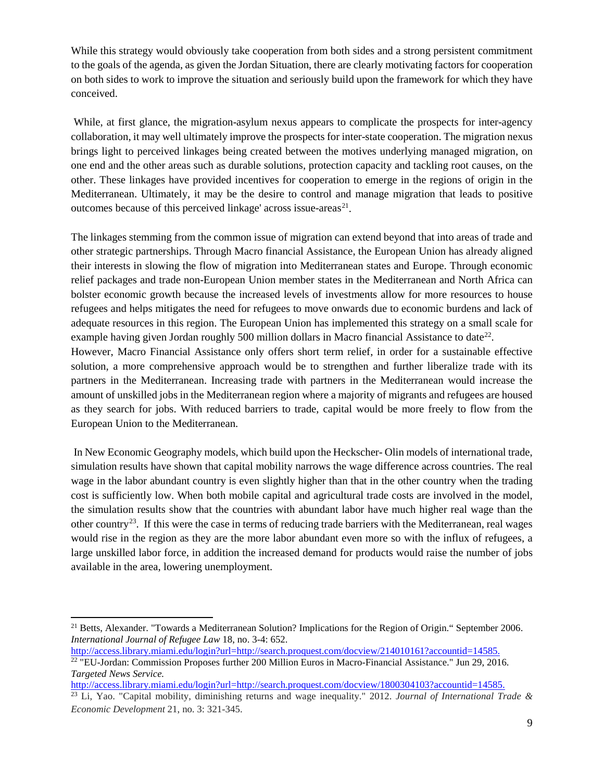While this strategy would obviously take cooperation from both sides and a strong persistent commitment to the goals of the agenda, as given the Jordan Situation, there are clearly motivating factors for cooperation on both sides to work to improve the situation and seriously build upon the framework for which they have conceived.

While, at first glance, the migration-asylum nexus appears to complicate the prospects for inter-agency collaboration, it may well ultimately improve the prospects for inter-state cooperation. The migration nexus brings light to perceived linkages being created between the motives underlying managed migration, on one end and the other areas such as durable solutions, protection capacity and tackling root causes, on the other. These linkages have provided incentives for cooperation to emerge in the regions of origin in the Mediterranean. Ultimately, it may be the desire to control and manage migration that leads to positive outcomes because of this perceived linkage' across issue-areas<sup>21</sup>.

The linkages stemming from the common issue of migration can extend beyond that into areas of trade and other strategic partnerships. Through Macro financial Assistance, the European Union has already aligned their interests in slowing the flow of migration into Mediterranean states and Europe. Through economic relief packages and trade non-European Union member states in the Mediterranean and North Africa can bolster economic growth because the increased levels of investments allow for more resources to house refugees and helps mitigates the need for refugees to move onwards due to economic burdens and lack of adequate resources in this region. The European Union has implemented this strategy on a small scale for example having given Jordan roughly 500 million dollars in Macro financial Assistance to date<sup>[22](#page-10-1)</sup>.

However, Macro Financial Assistance only offers short term relief, in order for a sustainable effective solution, a more comprehensive approach would be to strengthen and further liberalize trade with its partners in the Mediterranean. Increasing trade with partners in the Mediterranean would increase the amount of unskilled jobs in the Mediterranean region where a majority of migrants and refugees are housed as they search for jobs. With reduced barriers to trade, capital would be more freely to flow from the European Union to the Mediterranean.

In New Economic Geography models, which build upon the Heckscher- Olin models of international trade, simulation results have shown that capital mobility narrows the wage difference across countries. The real wage in the labor abundant country is even slightly higher than that in the other country when the trading cost is sufficiently low. When both mobile capital and agricultural trade costs are involved in the model, the simulation results show that the countries with abundant labor have much higher real wage than the other country[23](#page-10-2). If this were the case in terms of reducing trade barriers with the Mediterranean, real wages would rise in the region as they are the more labor abundant even more so with the influx of refugees, a large unskilled labor force, in addition the increased demand for products would raise the number of jobs available in the area, lowering unemployment.

<span id="page-10-0"></span><sup>&</sup>lt;sup>21</sup> Betts, Alexander. "Towards a Mediterranean Solution? Implications for the Region of Origin." September 2006. *International Journal of Refugee Law* 18, no. 3-4: 652.

<span id="page-10-1"></span><http://access.library.miami.edu/login?url=http://search.proquest.com/docview/214010161?accountid=14585.> <sup>22</sup> "EU-Jordan: Commission Proposes further 200 Million Euros in Macro-Financial Assistance." Jun 29, 2016. *Targeted News Service.*

<span id="page-10-2"></span><http://access.library.miami.edu/login?url=http://search.proquest.com/docview/1800304103?accountid=14585.> <sup>23</sup> Li, Yao. "Capital mobility, diminishing returns and wage inequality." 2012. *Journal of International Trade & Economic Development* 21, no. 3: 321-345.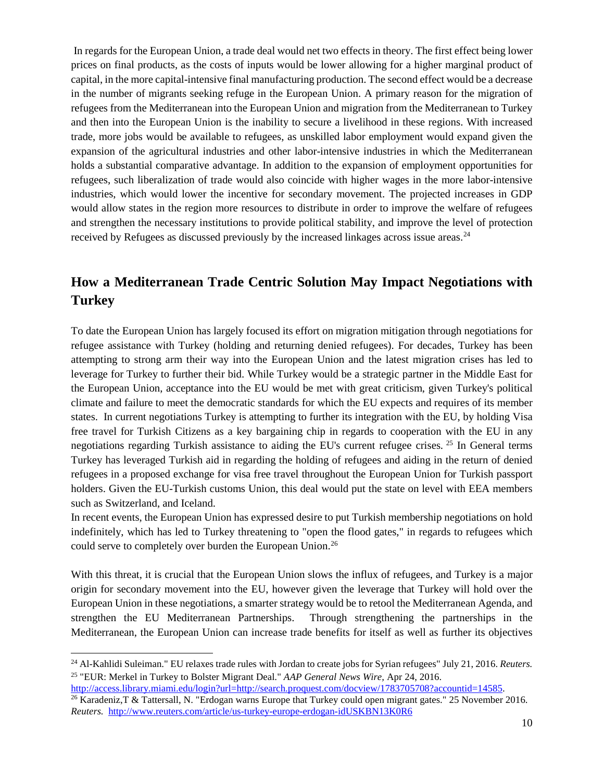In regards for the European Union, a trade deal would net two effects in theory. The first effect being lower prices on final products, as the costs of inputs would be lower allowing for a higher marginal product of capital, in the more capital-intensive final manufacturing production. The second effect would be a decrease in the number of migrants seeking refuge in the European Union. A primary reason for the migration of refugees from the Mediterranean into the European Union and migration from the Mediterranean to Turkey and then into the European Union is the inability to secure a livelihood in these regions. With increased trade, more jobs would be available to refugees, as unskilled labor employment would expand given the expansion of the agricultural industries and other labor-intensive industries in which the Mediterranean holds a substantial comparative advantage. In addition to the expansion of employment opportunities for refugees, such liberalization of trade would also coincide with higher wages in the more labor-intensive industries, which would lower the incentive for secondary movement. The projected increases in GDP would allow states in the region more resources to distribute in order to improve the welfare of refugees and strengthen the necessary institutions to provide political stability, and improve the level of protection received by Refugees as discussed previously by the increased linkages across issue areas.<sup>[24](#page-11-0)</sup>

## **How a Mediterranean Trade Centric Solution May Impact Negotiations with Turkey**

To date the European Union has largely focused its effort on migration mitigation through negotiations for refugee assistance with Turkey (holding and returning denied refugees). For decades, Turkey has been attempting to strong arm their way into the European Union and the latest migration crises has led to leverage for Turkey to further their bid. While Turkey would be a strategic partner in the Middle East for the European Union, acceptance into the EU would be met with great criticism, given Turkey's political climate and failure to meet the democratic standards for which the EU expects and requires of its member states. In current negotiations Turkey is attempting to further its integration with the EU, by holding Visa free travel for Turkish Citizens as a key bargaining chip in regards to cooperation with the EU in any negotiations regarding Turkish assistance to aiding the EU's current refugee crises.<sup>[25](#page-11-1)</sup> In General terms Turkey has leveraged Turkish aid in regarding the holding of refugees and aiding in the return of denied refugees in a proposed exchange for visa free travel throughout the European Union for Turkish passport holders. Given the EU-Turkish customs Union, this deal would put the state on level with EEA members such as Switzerland, and Iceland.

In recent events, the European Union has expressed desire to put Turkish membership negotiations on hold indefinitely, which has led to Turkey threatening to "open the flood gates," in regards to refugees which could serve to completely over burden the European Union.<sup>[26](#page-11-2)</sup>

With this threat, it is crucial that the European Union slows the influx of refugees, and Turkey is a major origin for secondary movement into the EU, however given the leverage that Turkey will hold over the European Union in these negotiations, a smarter strategy would be to retool the Mediterranean Agenda, and strengthen the EU Mediterranean Partnerships. Through strengthening the partnerships in the Mediterranean, the European Union can increase trade benefits for itself as well as further its objectives

<span id="page-11-0"></span> <sup>24</sup> Al-Kahlidi Suleiman." EU relaxes trade rules with Jordan to create jobs for Syrian refugees" July 21, 2016. *Reuters.* <sup>25</sup> "EUR: Merkel in Turkey to Bolster Migrant Deal." *AAP General News Wire,* Apr 24, 2016.

<span id="page-11-1"></span>[http://access.library.miami.edu/login?url=http://search.proquest.com/docview/1783705708?accountid=14585.](http://access.library.miami.edu/login?url=http://search.proquest.com/docview/1783705708?accountid=14585)

<span id="page-11-2"></span> $\frac{26}{26}$  Karadeniz, T & Tattersall, N. "Erdogan warns Europe that Turkey could open migrant gates." 25 November 2016. *Reuters.* <http://www.reuters.com/article/us-turkey-europe-erdogan-idUSKBN13K0R6>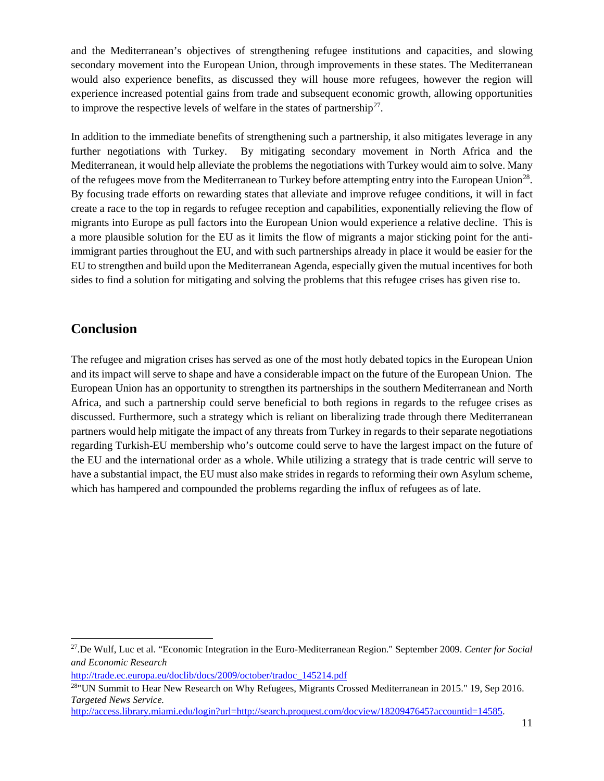and the Mediterranean's objectives of strengthening refugee institutions and capacities, and slowing secondary movement into the European Union, through improvements in these states. The Mediterranean would also experience benefits, as discussed they will house more refugees, however the region will experience increased potential gains from trade and subsequent economic growth, allowing opportunities to improve the respective levels of welfare in the states of partnership<sup>27</sup>.

In addition to the immediate benefits of strengthening such a partnership, it also mitigates leverage in any further negotiations with Turkey. By mitigating secondary movement in North Africa and the Mediterranean, it would help alleviate the problems the negotiations with Turkey would aim to solve. Many of the refugees move from the Mediterranean to Turkey before attempting entry into the European Union<sup>[28](#page-12-1)</sup>. By focusing trade efforts on rewarding states that alleviate and improve refugee conditions, it will in fact create a race to the top in regards to refugee reception and capabilities, exponentially relieving the flow of migrants into Europe as pull factors into the European Union would experience a relative decline. This is a more plausible solution for the EU as it limits the flow of migrants a major sticking point for the antiimmigrant parties throughout the EU, and with such partnerships already in place it would be easier for the EU to strengthen and build upon the Mediterranean Agenda, especially given the mutual incentives for both sides to find a solution for mitigating and solving the problems that this refugee crises has given rise to.

## **Conclusion**

The refugee and migration crises has served as one of the most hotly debated topics in the European Union and its impact will serve to shape and have a considerable impact on the future of the European Union. The European Union has an opportunity to strengthen its partnerships in the southern Mediterranean and North Africa, and such a partnership could serve beneficial to both regions in regards to the refugee crises as discussed. Furthermore, such a strategy which is reliant on liberalizing trade through there Mediterranean partners would help mitigate the impact of any threats from Turkey in regards to their separate negotiations regarding Turkish-EU membership who's outcome could serve to have the largest impact on the future of the EU and the international order as a whole. While utilizing a strategy that is trade centric will serve to have a substantial impact, the EU must also make strides in regards to reforming their own Asylum scheme, which has hampered and compounded the problems regarding the influx of refugees as of late.

<span id="page-12-0"></span> <sup>27.</sup>De Wulf, Luc et al. "Economic Integration in the Euro-Mediterranean Region." September 2009. *Center for Social and Economic Research*

[http://trade.ec.europa.eu/doclib/docs/2009/october/tradoc\\_145214.pdf](http://trade.ec.europa.eu/doclib/docs/2009/october/tradoc_145214.pdf)

<span id="page-12-1"></span><sup>28&</sup>quot;UN Summit to Hear New Research on Why Refugees, Migrants Crossed Mediterranean in 2015." 19, Sep 2016. *Targeted News Service.*

[http://access.library.miami.edu/login?url=http://search.proquest.com/docview/1820947645?accountid=14585.](http://access.library.miami.edu/login?url=http://search.proquest.com/docview/1820947645?accountid=14585)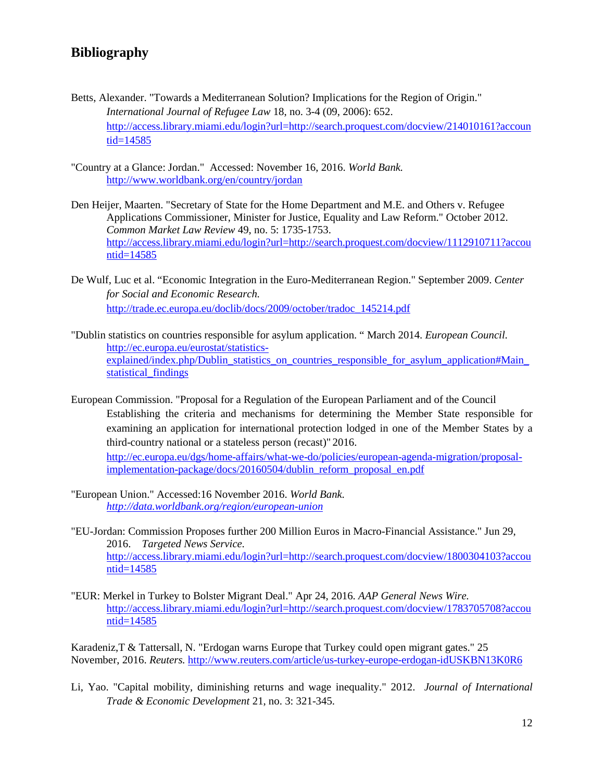## **Bibliography**

- Betts, Alexander. "Towards a Mediterranean Solution? Implications for the Region of Origin." *International Journal of Refugee Law* 18, no. 3-4 (09, 2006): 652. [http://access.library.miami.edu/login?url=http://search.proquest.com/docview/214010161?accoun](http://access.library.miami.edu/login?url=http://search.proquest.com/docview/214010161?accountid=14585) [tid=14585](http://access.library.miami.edu/login?url=http://search.proquest.com/docview/214010161?accountid=14585)
- "Country at a Glance: Jordan." Accessed: November 16, 2016. *World Bank.* <http://www.worldbank.org/en/country/jordan>
- Den Heijer, Maarten. "Secretary of State for the Home Department and M.E. and Others v. Refugee Applications Commissioner, Minister for Justice, Equality and Law Reform." October 2012. *Common Market Law Review* 49, no. 5: 1735-1753. [http://access.library.miami.edu/login?url=http://search.proquest.com/docview/1112910711?accou](http://access.library.miami.edu/login?url=http://search.proquest.com/docview/1112910711?accountid=14585) [ntid=14585](http://access.library.miami.edu/login?url=http://search.proquest.com/docview/1112910711?accountid=14585)
- De Wulf, Luc et al. "Economic Integration in the Euro-Mediterranean Region." September 2009. *Center for Social and Economic Research.*  [http://trade.ec.europa.eu/doclib/docs/2009/october/tradoc\\_145214.pdf](http://trade.ec.europa.eu/doclib/docs/2009/october/tradoc_145214.pdf)
- "Dublin statistics on countries responsible for asylum application. " March 2014. *European Council.*  [http://ec.europa.eu/eurostat/statistics](http://ec.europa.eu/eurostat/statistics-explained/index.php/Dublin_statistics_on_countries_responsible_for_asylum_application#Main_statistical_findings)explained/index.php/Dublin\_statistics\_on\_countries\_responsible\_for\_asylum\_application#Main [statistical\\_findings](http://ec.europa.eu/eurostat/statistics-explained/index.php/Dublin_statistics_on_countries_responsible_for_asylum_application#Main_statistical_findings)
- European Commission. "Proposal for a Regulation of the European Parliament and of the Council Establishing the criteria and mechanisms for determining the Member State responsible for examining an application for international protection lodged in one of the Member States by a third-country national or a stateless person (recast)" 2016. [http://ec.europa.eu/dgs/home-affairs/what-we-do/policies/european-agenda-migration/proposal](http://ec.europa.eu/dgs/home-affairs/what-we-do/policies/european-agenda-migration/proposal-implementation-package/docs/20160504/dublin_reform_proposal_en.pdf)[implementation-package/docs/20160504/dublin\\_reform\\_proposal\\_en.pdf](http://ec.europa.eu/dgs/home-affairs/what-we-do/policies/european-agenda-migration/proposal-implementation-package/docs/20160504/dublin_reform_proposal_en.pdf)
- "European Union." Accessed:16 November 2016. *World Bank. <http://data.worldbank.org/region/european-union>*
- "EU-Jordan: Commission Proposes further 200 Million Euros in Macro-Financial Assistance." Jun 29, 2016. *Targeted News Service.* [http://access.library.miami.edu/login?url=http://search.proquest.com/docview/1800304103?accou](http://access.library.miami.edu/login?url=http://search.proquest.com/docview/1800304103?accountid=14585) [ntid=14585](http://access.library.miami.edu/login?url=http://search.proquest.com/docview/1800304103?accountid=14585)
- "EUR: Merkel in Turkey to Bolster Migrant Deal." Apr 24, 2016. *AAP General News Wire.* [http://access.library.miami.edu/login?url=http://search.proquest.com/docview/1783705708?accou](http://access.library.miami.edu/login?url=http://search.proquest.com/docview/1783705708?accountid=14585) [ntid=14585](http://access.library.miami.edu/login?url=http://search.proquest.com/docview/1783705708?accountid=14585)

Karadeniz,T & Tattersall, N. "Erdogan warns Europe that Turkey could open migrant gates." 25 November, 2016. *Reuters.* <http://www.reuters.com/article/us-turkey-europe-erdogan-idUSKBN13K0R6>

Li, Yao. "Capital mobility, diminishing returns and wage inequality." 2012. *Journal of International Trade & Economic Development* 21, no. 3: 321-345.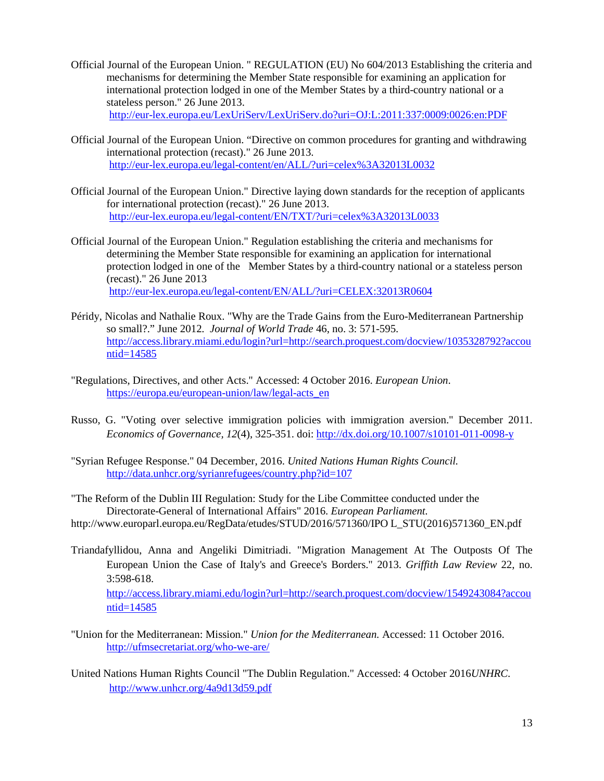- Official Journal of the European Union. " REGULATION (EU) No 604/2013 Establishing the criteria and mechanisms for determining the Member State responsible for examining an application for international protection lodged in one of the Member States by a third-country national or a stateless person." 26 June 2013. <http://eur-lex.europa.eu/LexUriServ/LexUriServ.do?uri=OJ:L:2011:337:0009:0026:en:PDF>
- Official Journal of the European Union. "Directive on common procedures for granting and withdrawing international protection (recast)." 26 June 2013. <http://eur-lex.europa.eu/legal-content/en/ALL/?uri=celex%3A32013L0032>
- Official Journal of the European Union." Directive laying down standards for the reception of applicants for international protection (recast)." 26 June 2013. <http://eur-lex.europa.eu/legal-content/EN/TXT/?uri=celex%3A32013L0033>
- Official Journal of the European Union." Regulation establishing the criteria and mechanisms for determining the Member State responsible for examining an application for international protection lodged in one of the Member States by a third-country national or a stateless person (recast)." 26 June 2013 <http://eur-lex.europa.eu/legal-content/EN/ALL/?uri=CELEX:32013R0604>
- Péridy, Nicolas and Nathalie Roux. "Why are the Trade Gains from the Euro-Mediterranean Partnership so small?." June 2012. *Journal of World Trade* 46, no. 3: 571-595. [http://access.library.miami.edu/login?url=http://search.proquest.com/docview/1035328792?accou](http://access.library.miami.edu/login?url=http://search.proquest.com/docview/1035328792?accountid=14585)  $ntid=14585$
- "Regulations, Directives, and other Acts." Accessed: 4 October 2016. *European Union*. [https://europa.eu/european-union/law/legal-acts\\_en](https://europa.eu/european-union/law/legal-acts_en)
- Russo, G. "Voting over selective immigration policies with immigration aversion." December 2011. *Economics of Governance, 12*(4), 325-351. doi: <http://dx.doi.org/10.1007/s10101-011-0098-y>
- "Syrian Refugee Response." 04 December, 2016. *United Nations Human Rights Council.* <http://data.unhcr.org/syrianrefugees/country.php?id=107>
- "The Reform of the Dublin III Regulation: Study for the Libe Committee conducted under the Directorate-General of International Affairs" 2016. *European Parliament.*  http://www.europarl.europa.eu/RegData/etudes/STUD/2016/571360/IPO L\_STU(2016)571360\_EN.pdf
- Triandafyllidou, Anna and Angeliki Dimitriadi. "Migration Management At The Outposts Of The European Union the Case of Italy's and Greece's Borders." 2013. *Griffith Law Review* 22, no. 3:598-618. [http://access.library.miami.edu/login?url=http://search.proquest.com/docview/1549243084?accou](http://access.library.miami.edu/login?url=http://search.proquest.com/docview/1549243084?accountid=14585) [ntid=14585](http://access.library.miami.edu/login?url=http://search.proquest.com/docview/1549243084?accountid=14585)
- "Union for the Mediterranean: Mission." *Union for the Mediterranean.* Accessed: 11 October 2016. <http://ufmsecretariat.org/who-we-are/>
- United Nations Human Rights Council "The Dublin Regulation." Accessed: 4 October 2016*UNHRC*. <http://www.unhcr.org/4a9d13d59.pdf>